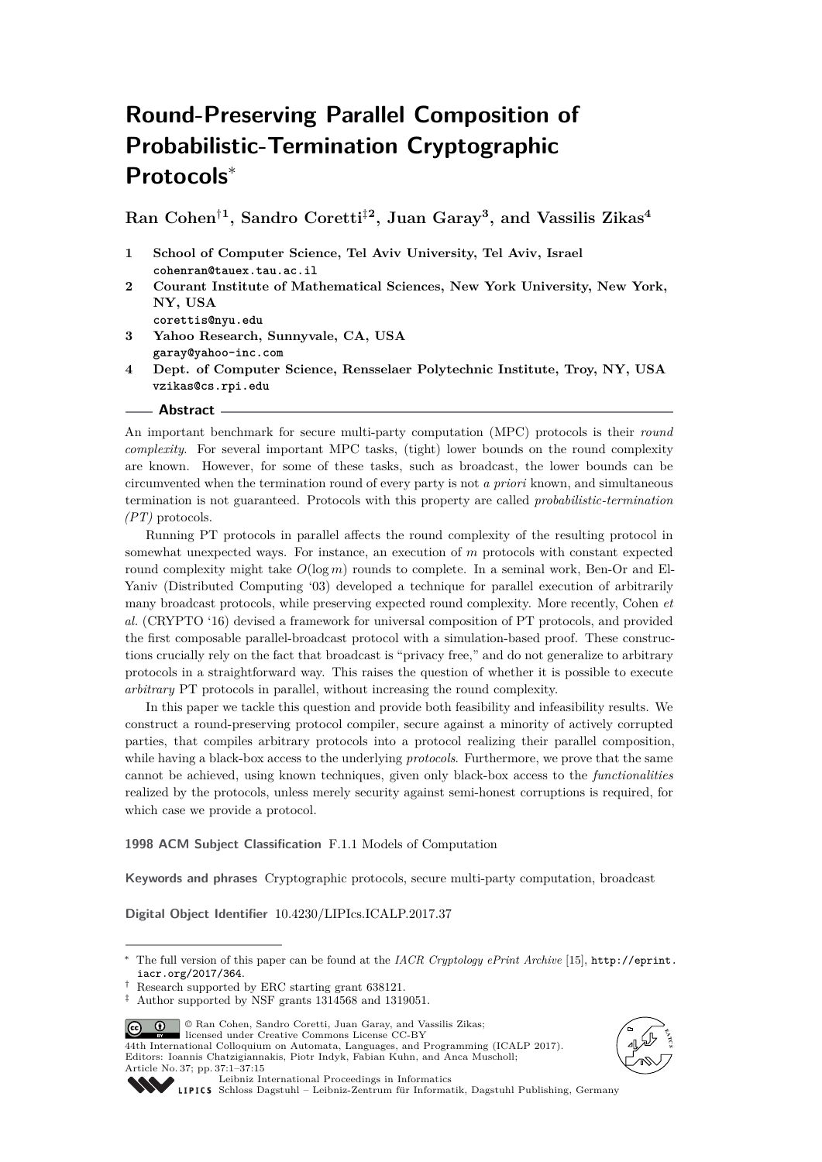# **Round-Preserving Parallel Composition of Probabilistic-Termination Cryptographic Protocols**<sup>∗</sup>

**Ran Cohen**†**<sup>1</sup> , Sandro Coretti**‡**<sup>2</sup> , Juan Garay<sup>3</sup> , and Vassilis Zikas<sup>4</sup>**

- **1 School of Computer Science, Tel Aviv University, Tel Aviv, Israel cohenran@tauex.tau.ac.il**
- **2 Courant Institute of Mathematical Sciences, New York University, New York, NY, USA corettis@nyu.edu**
- **3 Yahoo Research, Sunnyvale, CA, USA garay@yahoo-inc.com**
- **4 Dept. of Computer Science, Rensselaer Polytechnic Institute, Troy, NY, USA vzikas@cs.rpi.edu**
- **Abstract**

An important benchmark for secure multi-party computation (MPC) protocols is their *round complexity*. For several important MPC tasks, (tight) lower bounds on the round complexity are known. However, for some of these tasks, such as broadcast, the lower bounds can be circumvented when the termination round of every party is not *a priori* known, and simultaneous termination is not guaranteed. Protocols with this property are called *probabilistic-termination (PT)* protocols.

Running PT protocols in parallel affects the round complexity of the resulting protocol in somewhat unexpected ways. For instance, an execution of *m* protocols with constant expected round complexity might take  $O(\log m)$  rounds to complete. In a seminal work, Ben-Or and El-Yaniv (Distributed Computing '03) developed a technique for parallel execution of arbitrarily many broadcast protocols, while preserving expected round complexity. More recently, Cohen *et al.* (CRYPTO '16) devised a framework for universal composition of PT protocols, and provided the first composable parallel-broadcast protocol with a simulation-based proof. These constructions crucially rely on the fact that broadcast is "privacy free," and do not generalize to arbitrary protocols in a straightforward way. This raises the question of whether it is possible to execute *arbitrary* PT protocols in parallel, without increasing the round complexity.

In this paper we tackle this question and provide both feasibility and infeasibility results. We construct a round-preserving protocol compiler, secure against a minority of actively corrupted parties, that compiles arbitrary protocols into a protocol realizing their parallel composition, while having a black-box access to the underlying *protocols*. Furthermore, we prove that the same cannot be achieved, using known techniques, given only black-box access to the *functionalities* realized by the protocols, unless merely security against semi-honest corruptions is required, for which case we provide a protocol.

**1998 ACM Subject Classification** F.1.1 Models of Computation

**Keywords and phrases** Cryptographic protocols, secure multi-party computation, broadcast

**Digital Object Identifier** [10.4230/LIPIcs.ICALP.2017.37](http://dx.doi.org/10.4230/LIPIcs.ICALP.2017.37)

© Ran Cohen, Sandro Coretti, Juan Garay, and Vassilis Zikas;  $\circ$   $\circ$ 

licensed under Creative Commons License CC-BY 44th International Colloquium on Automata, Languages, and Programming (ICALP 2017). Editors: Ioannis Chatzigiannakis, Piotr Indyk, Fabian Kuhn, and Anca Muscholl;



[Schloss Dagstuhl – Leibniz-Zentrum für Informatik, Dagstuhl Publishing, Germany](http://www.dagstuhl.de)

<sup>∗</sup> The full version of this paper can be found at the *IACR Cryptology ePrint Archive* [\[15\]](#page-12-0), [http://eprint.](http://eprint.iacr.org/2017/364) [iacr.org/2017/364](http://eprint.iacr.org/2017/364).

<sup>†</sup> Research supported by ERC starting grant 638121.

<sup>‡</sup> Author supported by NSF grants 1314568 and 1319051.

Article No. 37; pp. 37:1–37[:15](#page-14-0)

[Leibniz International Proceedings in Informatics](http://www.dagstuhl.de/lipics/)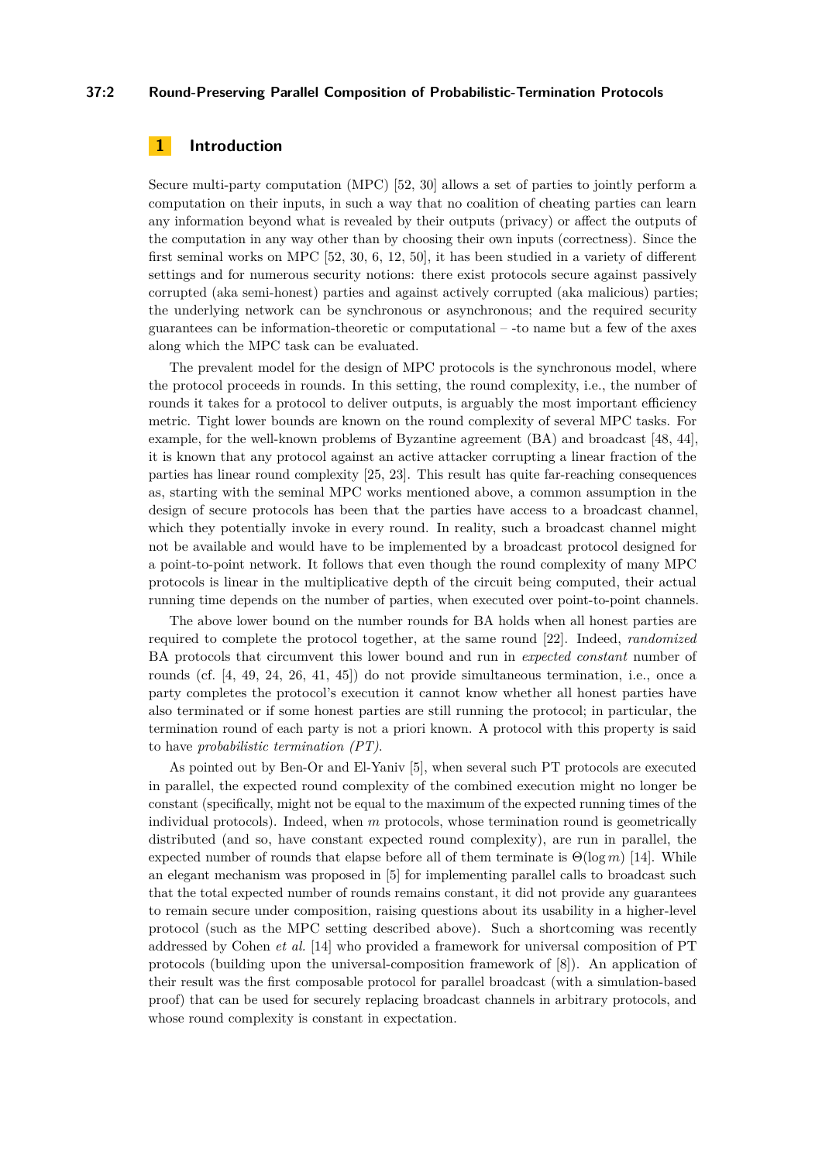## **37:2 Round-Preserving Parallel Composition of Probabilistic-Termination Protocols**

# **1 Introduction**

Secure multi-party computation (MPC) [\[52,](#page-14-1) [30\]](#page-13-0) allows a set of parties to jointly perform a computation on their inputs, in such a way that no coalition of cheating parties can learn any information beyond what is revealed by their outputs (privacy) or affect the outputs of the computation in any way other than by choosing their own inputs (correctness). Since the first seminal works on MPC [\[52,](#page-14-1) [30,](#page-13-0) [6,](#page-12-1) [12,](#page-12-2) [50\]](#page-14-2), it has been studied in a variety of different settings and for numerous security notions: there exist protocols secure against passively corrupted (aka semi-honest) parties and against actively corrupted (aka malicious) parties; the underlying network can be synchronous or asynchronous; and the required security guarantees can be information-theoretic or computational – -to name but a few of the axes along which the MPC task can be evaluated.

The prevalent model for the design of MPC protocols is the synchronous model, where the protocol proceeds in rounds. In this setting, the round complexity, i.e., the number of rounds it takes for a protocol to deliver outputs, is arguably the most important efficiency metric. Tight lower bounds are known on the round complexity of several MPC tasks. For example, for the well-known problems of Byzantine agreement (BA) and broadcast [\[48,](#page-14-3) [44\]](#page-14-4), it is known that any protocol against an active attacker corrupting a linear fraction of the parties has linear round complexity [\[25,](#page-13-1) [23\]](#page-13-2). This result has quite far-reaching consequences as, starting with the seminal MPC works mentioned above, a common assumption in the design of secure protocols has been that the parties have access to a broadcast channel, which they potentially invoke in every round. In reality, such a broadcast channel might not be available and would have to be implemented by a broadcast protocol designed for a point-to-point network. It follows that even though the round complexity of many MPC protocols is linear in the multiplicative depth of the circuit being computed, their actual running time depends on the number of parties, when executed over point-to-point channels.

The above lower bound on the number rounds for BA holds when all honest parties are required to complete the protocol together, at the same round [\[22\]](#page-13-3). Indeed, *randomized* BA protocols that circumvent this lower bound and run in *expected constant* number of rounds (cf. [\[4,](#page-12-3) [49,](#page-14-5) [24,](#page-13-4) [26,](#page-13-5) [41,](#page-14-6) [45\]](#page-14-7)) do not provide simultaneous termination, i.e., once a party completes the protocol's execution it cannot know whether all honest parties have also terminated or if some honest parties are still running the protocol; in particular, the termination round of each party is not a priori known. A protocol with this property is said to have *probabilistic termination (PT)*.

As pointed out by Ben-Or and El-Yaniv [\[5\]](#page-12-4), when several such PT protocols are executed in parallel, the expected round complexity of the combined execution might no longer be constant (specifically, might not be equal to the maximum of the expected running times of the individual protocols). Indeed, when *m* protocols, whose termination round is geometrically distributed (and so, have constant expected round complexity), are run in parallel, the expected number of rounds that elapse before all of them terminate is  $\Theta(\log m)$  [\[14\]](#page-12-5). While an elegant mechanism was proposed in [\[5\]](#page-12-4) for implementing parallel calls to broadcast such that the total expected number of rounds remains constant, it did not provide any guarantees to remain secure under composition, raising questions about its usability in a higher-level protocol (such as the MPC setting described above). Such a shortcoming was recently addressed by Cohen *et al.* [\[14\]](#page-12-5) who provided a framework for universal composition of PT protocols (building upon the universal-composition framework of [\[8\]](#page-12-6)). An application of their result was the first composable protocol for parallel broadcast (with a simulation-based proof) that can be used for securely replacing broadcast channels in arbitrary protocols, and whose round complexity is constant in expectation.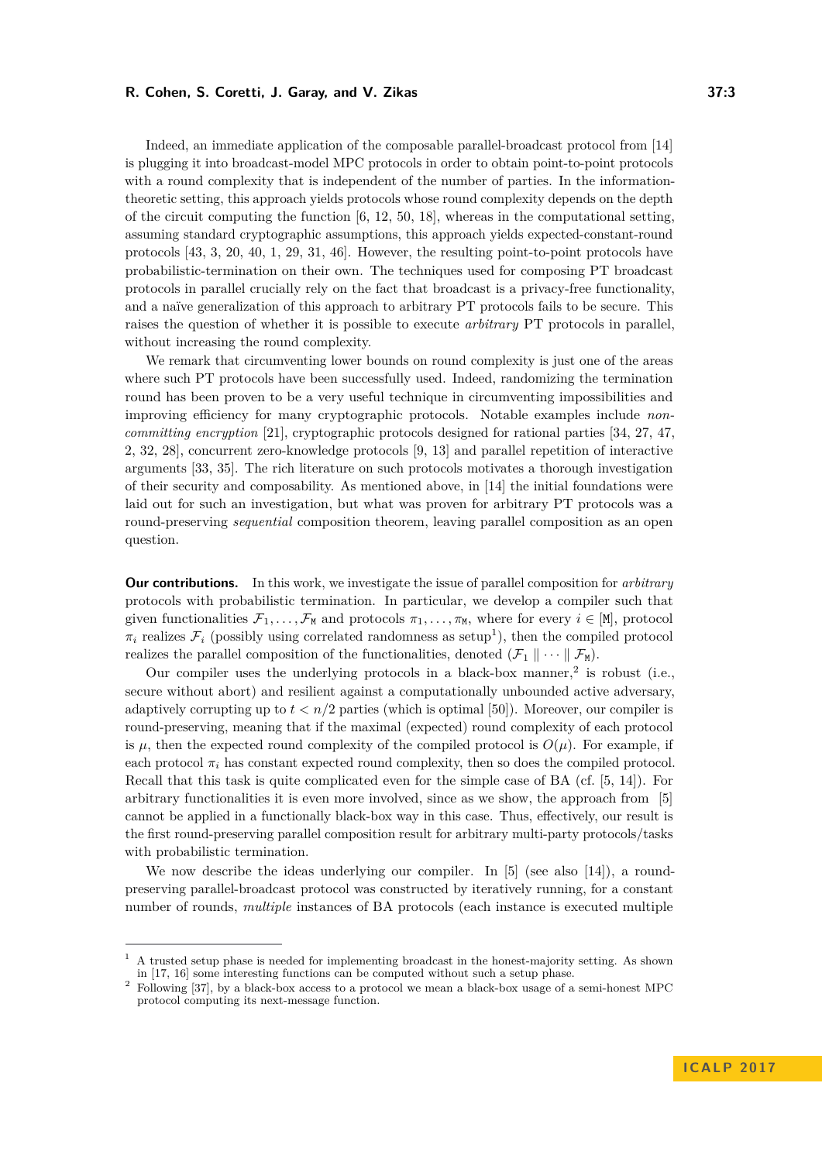Indeed, an immediate application of the composable parallel-broadcast protocol from [\[14\]](#page-12-5) is plugging it into broadcast-model MPC protocols in order to obtain point-to-point protocols with a round complexity that is independent of the number of parties. In the informationtheoretic setting, this approach yields protocols whose round complexity depends on the depth of the circuit computing the function  $[6, 12, 50, 18]$  $[6, 12, 50, 18]$  $[6, 12, 50, 18]$  $[6, 12, 50, 18]$  $[6, 12, 50, 18]$  $[6, 12, 50, 18]$  $[6, 12, 50, 18]$ , whereas in the computational setting, assuming standard cryptographic assumptions, this approach yields expected-constant-round protocols [\[43,](#page-14-8) [3,](#page-12-8) [20,](#page-13-6) [40,](#page-14-9) [1,](#page-11-0) [29,](#page-13-7) [31,](#page-13-8) [46\]](#page-14-10). However, the resulting point-to-point protocols have probabilistic-termination on their own. The techniques used for composing PT broadcast protocols in parallel crucially rely on the fact that broadcast is a privacy-free functionality, and a naïve generalization of this approach to arbitrary PT protocols fails to be secure. This raises the question of whether it is possible to execute *arbitrary* PT protocols in parallel, without increasing the round complexity.

We remark that circumventing lower bounds on round complexity is just one of the areas where such PT protocols have been successfully used. Indeed, randomizing the termination round has been proven to be a very useful technique in circumventing impossibilities and improving efficiency for many cryptographic protocols. Notable examples include *noncommitting encryption* [\[21\]](#page-13-9), cryptographic protocols designed for rational parties [\[34,](#page-13-10) [27,](#page-13-11) [47,](#page-14-11) [2,](#page-12-9) [32,](#page-13-12) [28\]](#page-13-13), concurrent zero-knowledge protocols [\[9,](#page-12-10) [13\]](#page-12-11) and parallel repetition of interactive arguments [\[33,](#page-13-14) [35\]](#page-13-15). The rich literature on such protocols motivates a thorough investigation of their security and composability. As mentioned above, in [\[14\]](#page-12-5) the initial foundations were laid out for such an investigation, but what was proven for arbitrary PT protocols was a round-preserving *sequential* composition theorem, leaving parallel composition as an open question.

**Our contributions.** In this work, we investigate the issue of parallel composition for *arbitrary* protocols with probabilistic termination. In particular, we develop a compiler such that given functionalities  $\mathcal{F}_1, \ldots, \mathcal{F}_M$  and protocols  $\pi_1, \ldots, \pi_M$ , where for every  $i \in [M]$ , protocol  $\pi_i$  realizes  $\mathcal{F}_i$  (possibly using correlated randomness as setup<sup>[1](#page-2-0)</sup>), then the compiled protocol realizes the parallel composition of the functionalities, denoted  $(\mathcal{F}_1 \parallel \cdots \parallel \mathcal{F}_M)$ .

Our compiler uses the underlying protocols in a black-box manner, $2$  is robust (i.e., secure without abort) and resilient against a computationally unbounded active adversary, adaptively corrupting up to  $t < n/2$  parties (which is optimal [\[50\]](#page-14-2)). Moreover, our compiler is round-preserving, meaning that if the maximal (expected) round complexity of each protocol is  $\mu$ , then the expected round complexity of the compiled protocol is  $O(\mu)$ . For example, if each protocol  $\pi_i$  has constant expected round complexity, then so does the compiled protocol. Recall that this task is quite complicated even for the simple case of BA (cf. [\[5,](#page-12-4) [14\]](#page-12-5)). For arbitrary functionalities it is even more involved, since as we show, the approach from [\[5\]](#page-12-4) cannot be applied in a functionally black-box way in this case. Thus, effectively, our result is the first round-preserving parallel composition result for arbitrary multi-party protocols/tasks with probabilistic termination.

We now describe the ideas underlying our compiler. In [\[5\]](#page-12-4) (see also [\[14\]](#page-12-5)), a roundpreserving parallel-broadcast protocol was constructed by iteratively running, for a constant number of rounds, *multiple* instances of BA protocols (each instance is executed multiple

<span id="page-2-0"></span><sup>1</sup> A trusted setup phase is needed for implementing broadcast in the honest-majority setting. As shown in [\[17,](#page-12-12) [16\]](#page-12-13) some interesting functions can be computed without such a setup phase.

<span id="page-2-1"></span><sup>2</sup> Following [\[37\]](#page-14-12), by a black-box access to a protocol we mean a black-box usage of a semi-honest MPC protocol computing its next-message function.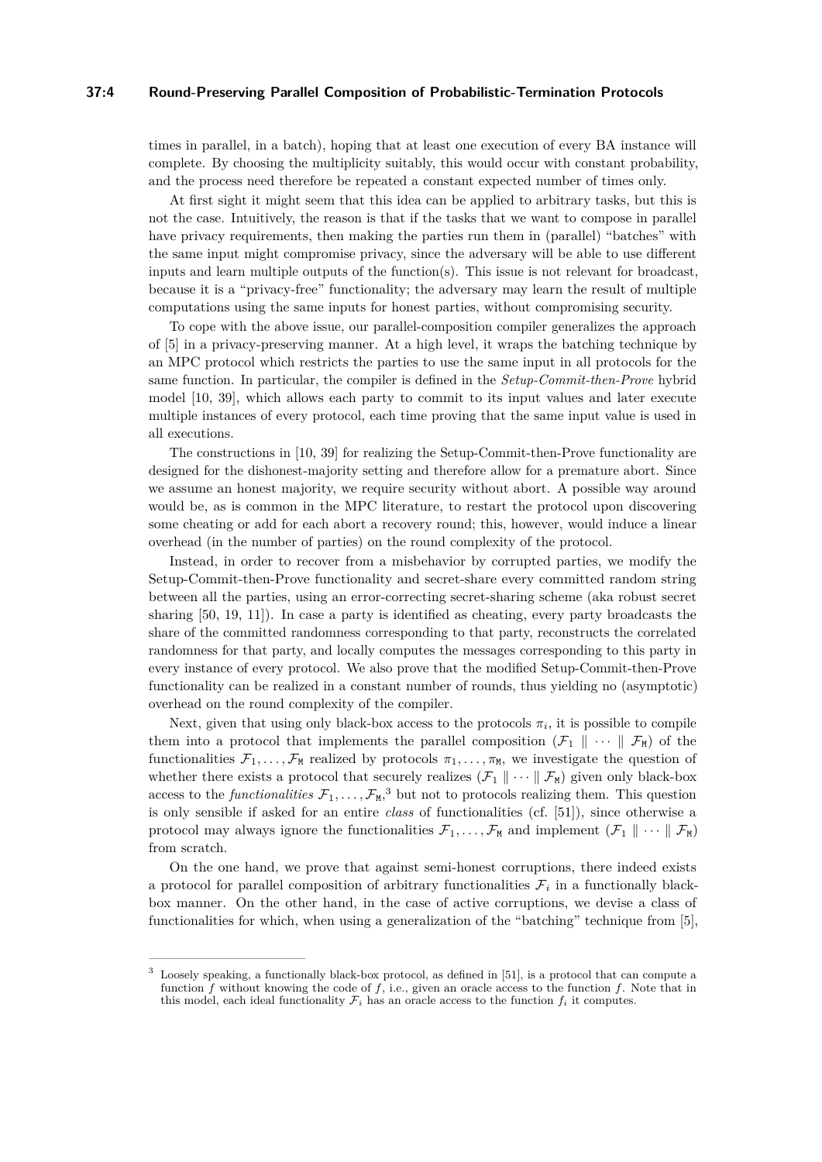## **37:4 Round-Preserving Parallel Composition of Probabilistic-Termination Protocols**

times in parallel, in a batch), hoping that at least one execution of every BA instance will complete. By choosing the multiplicity suitably, this would occur with constant probability, and the process need therefore be repeated a constant expected number of times only.

At first sight it might seem that this idea can be applied to arbitrary tasks, but this is not the case. Intuitively, the reason is that if the tasks that we want to compose in parallel have privacy requirements, then making the parties run them in (parallel) "batches" with the same input might compromise privacy, since the adversary will be able to use different inputs and learn multiple outputs of the function(s). This issue is not relevant for broadcast, because it is a "privacy-free" functionality; the adversary may learn the result of multiple computations using the same inputs for honest parties, without compromising security.

To cope with the above issue, our parallel-composition compiler generalizes the approach of [\[5\]](#page-12-4) in a privacy-preserving manner. At a high level, it wraps the batching technique by an MPC protocol which restricts the parties to use the same input in all protocols for the same function. In particular, the compiler is defined in the *Setup-Commit-then-Prove* hybrid model [\[10,](#page-12-14) [39\]](#page-14-13), which allows each party to commit to its input values and later execute multiple instances of every protocol, each time proving that the same input value is used in all executions.

The constructions in [\[10,](#page-12-14) [39\]](#page-14-13) for realizing the Setup-Commit-then-Prove functionality are designed for the dishonest-majority setting and therefore allow for a premature abort. Since we assume an honest majority, we require security without abort. A possible way around would be, as is common in the MPC literature, to restart the protocol upon discovering some cheating or add for each abort a recovery round; this, however, would induce a linear overhead (in the number of parties) on the round complexity of the protocol.

Instead, in order to recover from a misbehavior by corrupted parties, we modify the Setup-Commit-then-Prove functionality and secret-share every committed random string between all the parties, using an error-correcting secret-sharing scheme (aka robust secret sharing [\[50,](#page-14-2) [19,](#page-13-16) [11\]](#page-12-15)). In case a party is identified as cheating, every party broadcasts the share of the committed randomness corresponding to that party, reconstructs the correlated randomness for that party, and locally computes the messages corresponding to this party in every instance of every protocol. We also prove that the modified Setup-Commit-then-Prove functionality can be realized in a constant number of rounds, thus yielding no (asymptotic) overhead on the round complexity of the compiler.

Next, given that using only black-box access to the protocols  $\pi_i$ , it is possible to compile them into a protocol that implements the parallel composition  $(\mathcal{F}_1 \parallel \cdots \parallel \mathcal{F}_M)$  of the functionalities  $\mathcal{F}_1, \ldots, \mathcal{F}_M$  realized by protocols  $\pi_1, \ldots, \pi_M$ , we investigate the question of whether there exists a protocol that securely realizes  $(\mathcal{F}_1 \parallel \cdots \parallel \mathcal{F}_M)$  given only black-box access to the *functionalities*  $\mathcal{F}_1, \ldots, \mathcal{F}_M$ ,<sup>[3](#page-3-0)</sup> but not to protocols realizing them. This question is only sensible if asked for an entire *class* of functionalities (cf. [\[51\]](#page-14-14)), since otherwise a protocol may always ignore the functionalities  $\mathcal{F}_1, \ldots, \mathcal{F}_M$  and implement  $(\mathcal{F}_1 \parallel \cdots \parallel \mathcal{F}_M)$ from scratch.

On the one hand, we prove that against semi-honest corruptions, there indeed exists a protocol for parallel composition of arbitrary functionalities  $\mathcal{F}_i$  in a functionally blackbox manner. On the other hand, in the case of active corruptions, we devise a class of functionalities for which, when using a generalization of the "batching" technique from [\[5\]](#page-12-4),

<span id="page-3-0"></span>Loosely speaking, a functionally black-box protocol, as defined in [\[51\]](#page-14-14), is a protocol that can compute a function *f* without knowing the code of *f*, i.e., given an oracle access to the function *f*. Note that in this model, each ideal functionality  $\mathcal{F}_i$  has an oracle access to the function  $f_i$  it computes.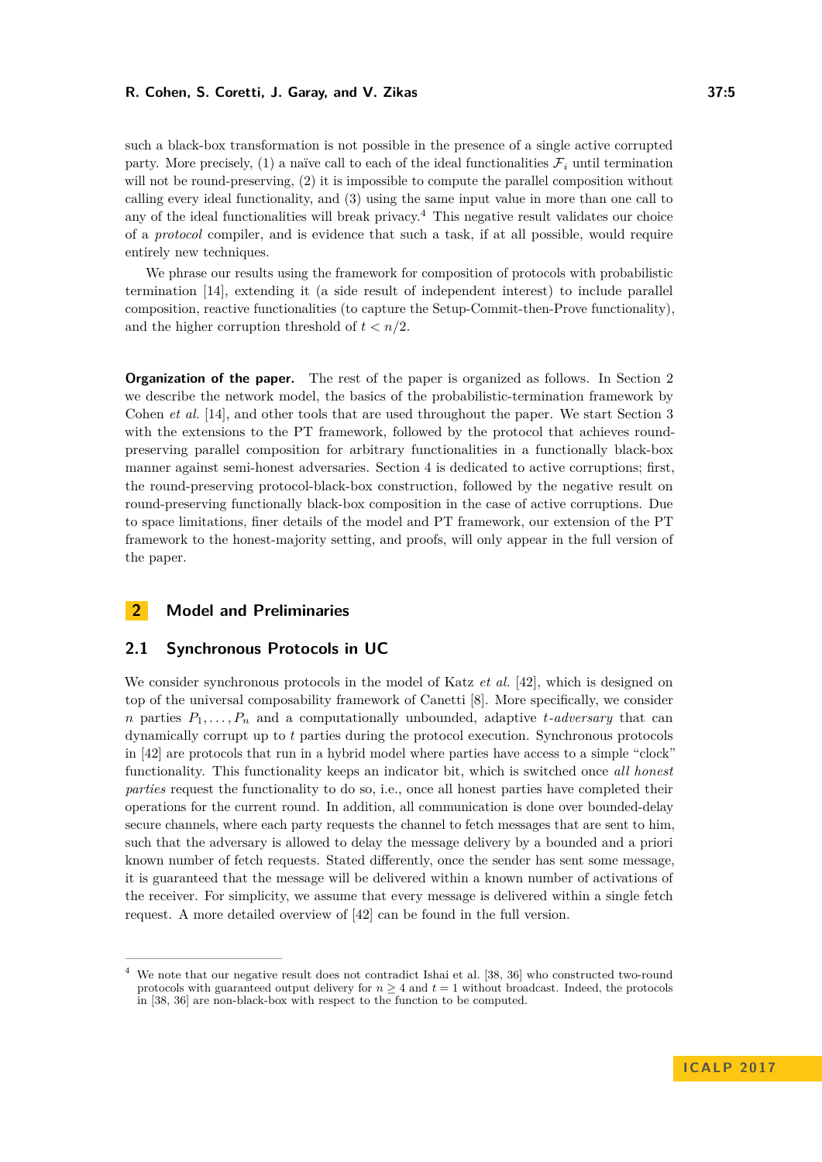such a black-box transformation is not possible in the presence of a single active corrupted party. More precisely,  $(1)$  a naïve call to each of the ideal functionalities  $\mathcal{F}_i$  until termination will not be round-preserving, (2) it is impossible to compute the parallel composition without calling every ideal functionality, and (3) using the same input value in more than one call to any of the ideal functionalities will break privacy.<sup>[4](#page-4-0)</sup> This negative result validates our choice of a *protocol* compiler, and is evidence that such a task, if at all possible, would require entirely new techniques.

We phrase our results using the framework for composition of protocols with probabilistic termination [\[14\]](#page-12-5), extending it (a side result of independent interest) to include parallel composition, reactive functionalities (to capture the Setup-Commit-then-Prove functionality), and the higher corruption threshold of  $t < n/2$ .

**Organization of the paper.** The rest of the paper is organized as follows. In Section [2](#page-4-1) we describe the network model, the basics of the probabilistic-termination framework by Cohen *et al.* [\[14\]](#page-12-5), and other tools that are used throughout the paper. We start Section [3](#page-7-0) with the extensions to the PT framework, followed by the protocol that achieves roundpreserving parallel composition for arbitrary functionalities in a functionally black-box manner against semi-honest adversaries. Section [4](#page-8-0) is dedicated to active corruptions; first, the round-preserving protocol-black-box construction, followed by the negative result on round-preserving functionally black-box composition in the case of active corruptions. Due to space limitations, finer details of the model and PT framework, our extension of the PT framework to the honest-majority setting, and proofs, will only appear in the full version of the paper.

# <span id="page-4-1"></span>**2 Model and Preliminaries**

# **2.1 Synchronous Protocols in UC**

We consider synchronous protocols in the model of Katz *et al.* [\[42\]](#page-14-15), which is designed on top of the universal composability framework of Canetti [\[8\]](#page-12-6). More specifically, we consider *n* parties  $P_1, \ldots, P_n$  and a computationally unbounded, adaptive *t-adversary* that can dynamically corrupt up to *t* parties during the protocol execution. Synchronous protocols in [\[42\]](#page-14-15) are protocols that run in a hybrid model where parties have access to a simple "clock" functionality. This functionality keeps an indicator bit, which is switched once *all honest parties* request the functionality to do so, i.e., once all honest parties have completed their operations for the current round. In addition, all communication is done over bounded-delay secure channels, where each party requests the channel to fetch messages that are sent to him, such that the adversary is allowed to delay the message delivery by a bounded and a priori known number of fetch requests. Stated differently, once the sender has sent some message, it is guaranteed that the message will be delivered within a known number of activations of the receiver. For simplicity, we assume that every message is delivered within a single fetch request. A more detailed overview of [\[42\]](#page-14-15) can be found in the full version.

<span id="page-4-0"></span><sup>4</sup> We note that our negative result does not contradict Ishai et al. [\[38,](#page-14-16) [36\]](#page-13-17) who constructed two-round protocols with guaranteed output delivery for  $n \geq 4$  and  $t = 1$  without broadcast. Indeed, the protocols in [\[38,](#page-14-16) [36\]](#page-13-17) are non-black-box with respect to the function to be computed.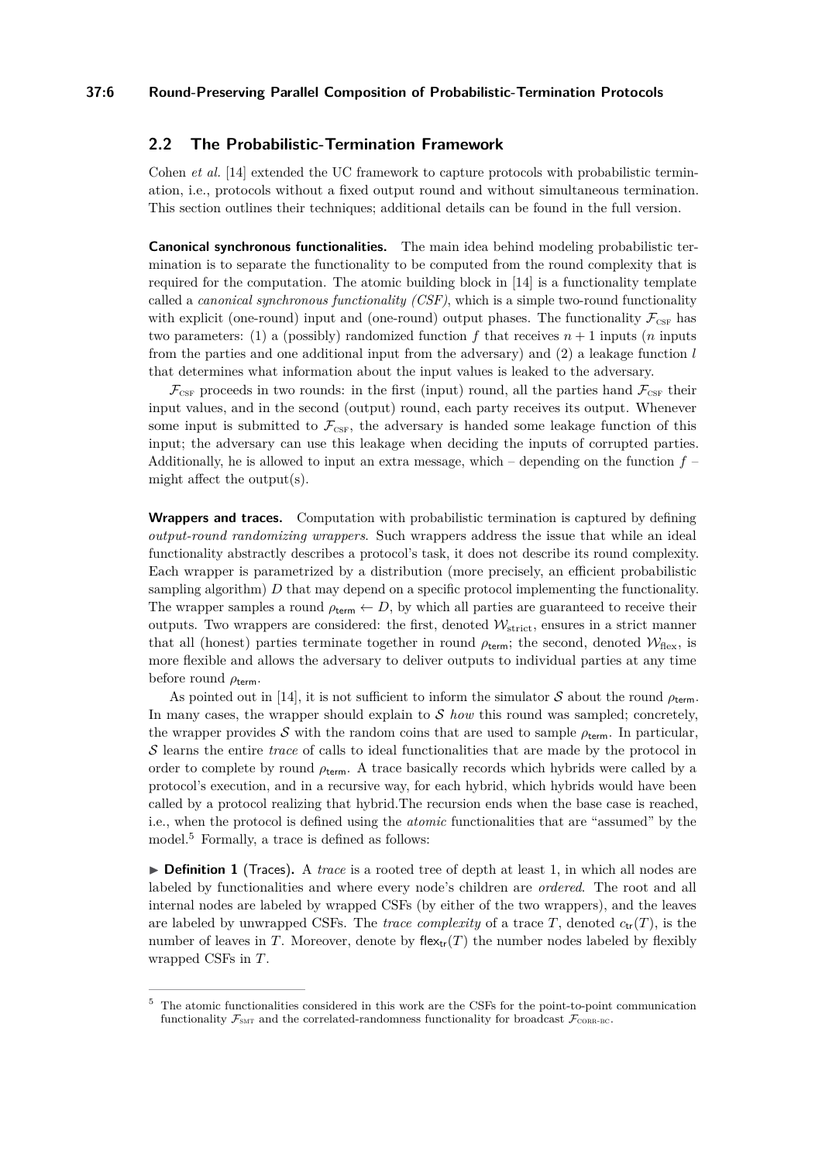## **37:6 Round-Preserving Parallel Composition of Probabilistic-Termination Protocols**

# <span id="page-5-1"></span>**2.2 The Probabilistic-Termination Framework**

Cohen *et al.* [\[14\]](#page-12-5) extended the UC framework to capture protocols with probabilistic termination, i.e., protocols without a fixed output round and without simultaneous termination. This section outlines their techniques; additional details can be found in the full version.

**Canonical synchronous functionalities.** The main idea behind modeling probabilistic termination is to separate the functionality to be computed from the round complexity that is required for the computation. The atomic building block in [\[14\]](#page-12-5) is a functionality template called a *canonical synchronous functionality (CSF)*, which is a simple two-round functionality with explicit (one-round) input and (one-round) output phases. The functionality  $\mathcal{F}_{\text{CSF}}$  has two parameters: (1) a (possibly) randomized function  $f$  that receives  $n+1$  inputs (*n* inputs from the parties and one additional input from the adversary) and (2) a leakage function *l* that determines what information about the input values is leaked to the adversary.

 $\mathcal{F}_{\text{CSF}}$  proceeds in two rounds: in the first (input) round, all the parties hand  $\mathcal{F}_{\text{CSF}}$  their input values, and in the second (output) round, each party receives its output. Whenever some input is submitted to  $\mathcal{F}_{\text{CSF}}$ , the adversary is handed some leakage function of this input; the adversary can use this leakage when deciding the inputs of corrupted parties. Additionally, he is allowed to input an extra message, which – depending on the function *f* – might affect the output(s).

**Wrappers and traces.** Computation with probabilistic termination is captured by defining *output-round randomizing wrappers*. Such wrappers address the issue that while an ideal functionality abstractly describes a protocol's task, it does not describe its round complexity. Each wrapper is parametrized by a distribution (more precisely, an efficient probabilistic sampling algorithm) *D* that may depend on a specific protocol implementing the functionality. The wrapper samples a round  $\rho_{\text{term}} \leftarrow D$ , by which all parties are guaranteed to receive their outputs. Two wrappers are considered: the first, denoted  $\mathcal{W}_{\text{strict}}$ , ensures in a strict manner that all (honest) parties terminate together in round  $\rho_{\text{term}}$ ; the second, denoted  $\mathcal{W}_{\text{flex}}$ , is more flexible and allows the adversary to deliver outputs to individual parties at any time before round *ρ*term.

As pointed out in [\[14\]](#page-12-5), it is not sufficient to inform the simulator S about the round  $\rho_{\text{term}}$ . In many cases, the wrapper should explain to S *how* this round was sampled; concretely, the wrapper provides S with the random coins that are used to sample  $\rho_{\text{term}}$ . In particular, S learns the entire *trace* of calls to ideal functionalities that are made by the protocol in order to complete by round  $\rho_{\text{term}}$ . A trace basically records which hybrids were called by a protocol's execution, and in a recursive way, for each hybrid, which hybrids would have been called by a protocol realizing that hybrid.The recursion ends when the base case is reached, i.e., when the protocol is defined using the *atomic* functionalities that are "assumed" by the model.<sup>[5](#page-5-0)</sup> Formally, a trace is defined as follows:

▶ **Definition 1** (Traces). A *trace* is a rooted tree of depth at least 1, in which all nodes are labeled by functionalities and where every node's children are *ordered*. The root and all internal nodes are labeled by wrapped CSFs (by either of the two wrappers), and the leaves are labeled by unwrapped CSFs. The *trace complexity* of a trace  $T$ , denoted  $c_{tr}(T)$ , is the number of leaves in *T*. Moreover, denote by flex<sub>tr</sub> $(T)$  the number nodes labeled by flexibly wrapped CSFs in *T*.

<span id="page-5-0"></span><sup>5</sup> The atomic functionalities considered in this work are the CSFs for the point-to-point communication functionality  $\mathcal{F}_{\text{SMT}}$  and the correlated-randomness functionality for broadcast  $\mathcal{F}_{\text{CORR-BC}}$ .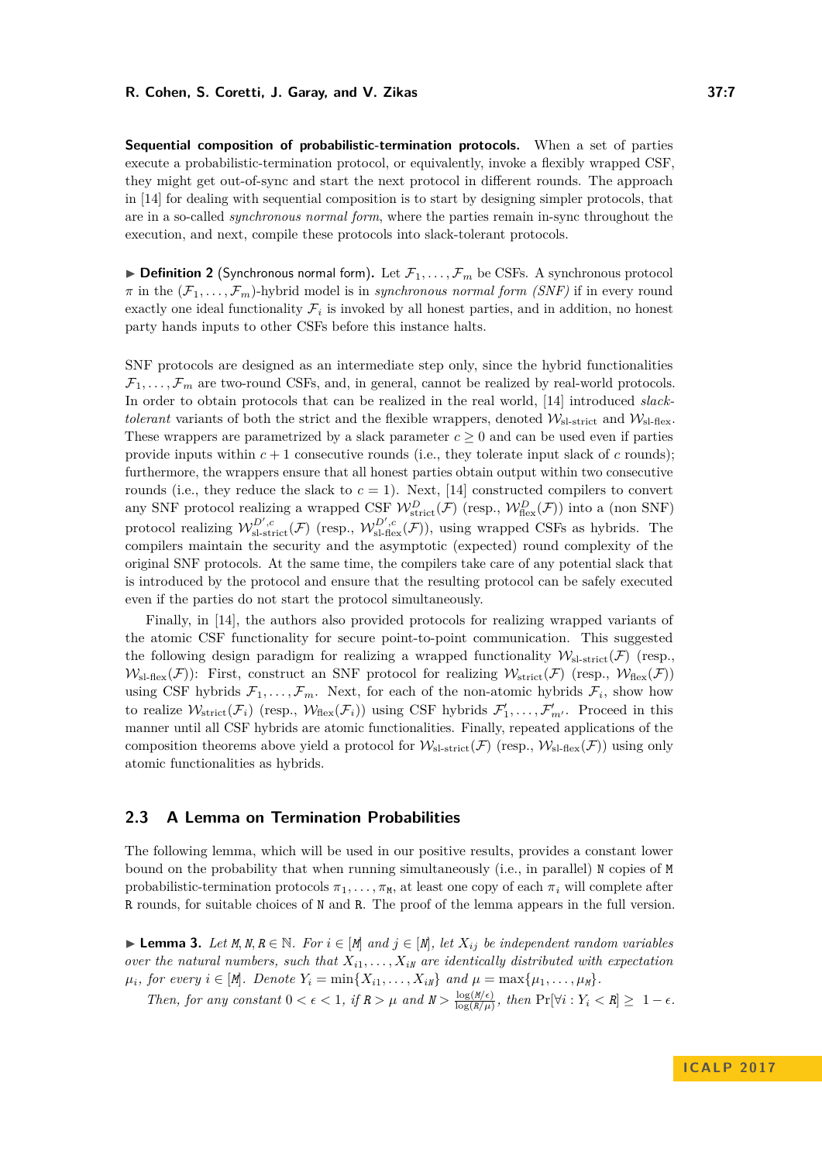**Sequential composition of probabilistic-termination protocols.** When a set of parties execute a probabilistic-termination protocol, or equivalently, invoke a flexibly wrapped CSF, they might get out-of-sync and start the next protocol in different rounds. The approach in [\[14\]](#page-12-5) for dealing with sequential composition is to start by designing simpler protocols, that are in a so-called *synchronous normal form*, where the parties remain in-sync throughout the execution, and next, compile these protocols into slack-tolerant protocols.

 $\triangleright$  **Definition 2** (Synchronous normal form). Let  $\mathcal{F}_1, \ldots, \mathcal{F}_m$  be CSFs. A synchronous protocol  $\pi$  in the  $(\mathcal{F}_1,\ldots,\mathcal{F}_m)$ -hybrid model is in *synchronous normal form (SNF)* if in every round exactly one ideal functionality  $\mathcal{F}_i$  is invoked by all honest parties, and in addition, no honest party hands inputs to other CSFs before this instance halts.

SNF protocols are designed as an intermediate step only, since the hybrid functionalities  $\mathcal{F}_1, \ldots, \mathcal{F}_m$  are two-round CSFs, and, in general, cannot be realized by real-world protocols. In order to obtain protocols that can be realized in the real world, [\[14\]](#page-12-5) introduced *slacktolerant* variants of both the strict and the flexible wrappers, denoted  $\mathcal{W}_{\text{s-strict}}$  and  $\mathcal{W}_{\text{s-flex}}$ . These wrappers are parametrized by a slack parameter  $c \geq 0$  and can be used even if parties provide inputs within  $c + 1$  consecutive rounds (i.e., they tolerate input slack of  $c$  rounds); furthermore, the wrappers ensure that all honest parties obtain output within two consecutive rounds (i.e., they reduce the slack to  $c = 1$ ). Next, [\[14\]](#page-12-5) constructed compilers to convert any SNF protocol realizing a wrapped CSF  $W_{\text{strict}}^D(\mathcal{F})$  (resp.,  $W_{\text{flex}}^D(\mathcal{F})$ ) into a (non SNF) protocol realizing  $W_{\text{sl-strict}}^{D',c}(\mathcal{F})$  (resp.,  $W_{\text{sl-first}}^{D',c}(\mathcal{F})$ ), using wrapped CSFs as hybrids. The compilers maintain the security and the asymptotic (expected) round complexity of the original SNF protocols. At the same time, the compilers take care of any potential slack that is introduced by the protocol and ensure that the resulting protocol can be safely executed even if the parties do not start the protocol simultaneously.

Finally, in [\[14\]](#page-12-5), the authors also provided protocols for realizing wrapped variants of the atomic CSF functionality for secure point-to-point communication. This suggested the following design paradigm for realizing a wrapped functionality  $\mathcal{W}_{sl-strict}(\mathcal{F})$  (resp.,  $W_{\rm sl\text{-}flex}(\mathcal{F})$ : First, construct an SNF protocol for realizing  $W_{\rm strict}(\mathcal{F})$  (resp.,  $W_{\rm flex}(\mathcal{F})$ ) using CSF hybrids  $\mathcal{F}_1, \ldots, \mathcal{F}_m$ . Next, for each of the non-atomic hybrids  $\mathcal{F}_i$ , show how to realize  $W_{\text{strict}}(\mathcal{F}_i)$  (resp.,  $W_{\text{flex}}(\mathcal{F}_i)$ ) using CSF hybrids  $\mathcal{F}'_1, \ldots, \mathcal{F}'_{m'}$ . Proceed in this manner until all CSF hybrids are atomic functionalities. Finally, repeated applications of the composition theorems above yield a protocol for  $W_{\rm sl-strict}(\mathcal{F})$  (resp.,  $W_{\rm sl-flex}(\mathcal{F})$ ) using only atomic functionalities as hybrids.

# **2.3 A Lemma on Termination Probabilities**

The following lemma, which will be used in our positive results, provides a constant lower bound on the probability that when running simultaneously (i.e., in parallel) N copies of M probabilistic-termination protocols  $\pi_1, \ldots, \pi_M$ , at least one copy of each  $\pi_i$  will complete after R rounds, for suitable choices of N and R. The proof of the lemma appears in the full version.

► **Lemma 3.** Let  $M, N, R \in \mathbb{N}$ . For  $i \in [M]$  and  $j \in [N]$ , let  $X_{ij}$  be independent random variables *over the natural numbers, such that*  $X_{i1}, \ldots, X_{iN}$  *are identically distributed with expectation*  $\mu_i$ *, for every*  $i \in [M]$ *. Denote*  $Y_i = \min\{X_{i1}, \ldots, X_{iN}\}$  and  $\mu = \max\{\mu_1, \ldots, \mu_M\}$ .

*Then, for any constant*  $0 < \epsilon < 1$ *, if*  $R > \mu$  *and*  $N > \frac{\log(M/\epsilon)}{\log(R/\mu)}$  $\frac{\log(M/\epsilon)}{\log(R/\mu)}$ , then  $\Pr[\forall i: Y_i < R] \geq 1 - \epsilon$ .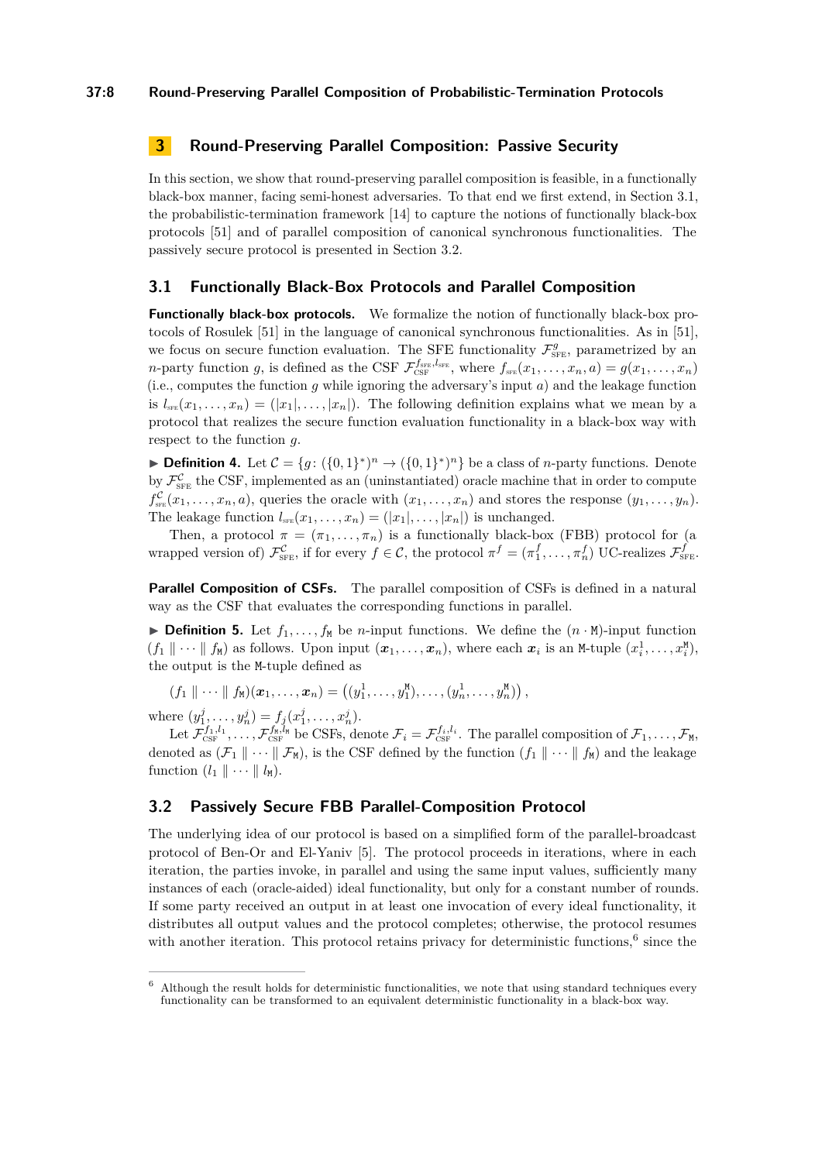# <span id="page-7-0"></span>**3 Round-Preserving Parallel Composition: Passive Security**

In this section, we show that round-preserving parallel composition is feasible, in a functionally black-box manner, facing semi-honest adversaries. To that end we first extend, in Section [3.1,](#page-7-1) the probabilistic-termination framework [\[14\]](#page-12-5) to capture the notions of functionally black-box protocols [\[51\]](#page-14-14) and of parallel composition of canonical synchronous functionalities. The passively secure protocol is presented in Section [3.2.](#page-7-2)

# <span id="page-7-1"></span>**3.1 Functionally Black-Box Protocols and Parallel Composition**

**Functionally black-box protocols.** We formalize the notion of functionally black-box protocols of Rosulek [\[51\]](#page-14-14) in the language of canonical synchronous functionalities. As in [\[51\]](#page-14-14), we focus on secure function evaluation. The SFE functionality  $\mathcal{F}_{SFE}^g$ , parametrized by an *n*-party function *g*, is defined as the CSF  $\mathcal{F}_{\text{CSF}}^{f_{\text{SFE}},f_{\text{SFE}}}$ , where  $f_{\text{SFE}}(x_1,\ldots,x_n,a) = g(x_1,\ldots,x_n)$ (i.e., computes the function *g* while ignoring the adversary's input *a*) and the leakage function is  $l_{s_{\text{FE}}}(x_1, \ldots, x_n) = (|x_1|, \ldots, |x_n|).$  The following definition explains what we mean by a protocol that realizes the secure function evaluation functionality in a black-box way with respect to the function *g*.

**Definition 4.** Let  $C = \{g: (\{0,1\}^*)^n \to (\{0,1\}^*)^n\}$  be a class of *n*-party functions. Denote by  $\mathcal{F}_{\text{SFE}}^{\mathcal{C}}$  the CSF, implemented as an (uninstantiated) oracle machine that in order to compute  $f_{\text{s}_{\text{FE}}}^{\mathcal{C}}(x_1,\ldots,x_n,a)$ , queries the oracle with  $(x_1,\ldots,x_n)$  and stores the response  $(y_1,\ldots,y_n)$ . The leakage function  $l_{\text{sFE}}(x_1, \ldots, x_n) = (|x_1|, \ldots, |x_n|)$  is unchanged.

Then, a protocol  $\pi = (\pi_1, \ldots, \pi_n)$  is a functionally black-box (FBB) protocol for (a wrapped version of)  $\mathcal{F}_{\text{SFE}}^{\mathcal{C}}$ , if for every  $f \in \mathcal{C}$ , the protocol  $\pi^f = (\pi_1^f, \ldots, \pi_n^f)$  UC-realizes  $\mathcal{F}_{\text{SFE}}^f$ .

**Parallel Composition of CSFs.** The parallel composition of CSFs is defined in a natural way as the CSF that evaluates the corresponding functions in parallel.

**Definition 5.** Let  $f_1, \ldots, f_M$  be *n*-input functions. We define the  $(n \cdot M)$ -input function  $(f_1 \parallel \cdots \parallel f_M)$  as follows. Upon input  $(x_1, \ldots, x_n)$ , where each  $x_i$  is an M-tuple  $(x_i^1, \ldots, x_i^M)$ , the output is the M-tuple defined as

 $(f_1 \parallel \cdots \parallel f_{\mathsf{M}})(\boldsymbol{x}_1, \ldots, \boldsymbol{x}_n) = ((y_1^1, \ldots, y_1^{\mathsf{M}}), \ldots, (y_n^1, \ldots, y_n^{\mathsf{M}}))$ 

where  $(y_1^j, \ldots, y_n^j) = f_j(x_1^j, \ldots, x_n^j)$ .

Let  $\mathcal{F}^{f_1,l_1}_{\text{CSF}}, \ldots, \mathcal{F}^{f_N,l_N}_{\text{CSF}}$  be CSFs, denote  $\mathcal{F}_i = \mathcal{F}^{f_i,l_i}_{\text{CSF}}$ . The parallel composition of  $\mathcal{F}_1, \ldots, \mathcal{F}_M$ , denoted as  $(\mathcal{F}_1 \parallel \cdots \parallel \mathcal{F}_M)$ , is the CSF defined by the function  $(f_1 \parallel \cdots \parallel f_M)$  and the leakage function  $(l_1 \parallel \cdots \parallel l_M)$ .

# <span id="page-7-2"></span>**3.2 Passively Secure FBB Parallel-Composition Protocol**

The underlying idea of our protocol is based on a simplified form of the parallel-broadcast protocol of Ben-Or and El-Yaniv [\[5\]](#page-12-4). The protocol proceeds in iterations, where in each iteration, the parties invoke, in parallel and using the same input values, sufficiently many instances of each (oracle-aided) ideal functionality, but only for a constant number of rounds. If some party received an output in at least one invocation of every ideal functionality, it distributes all output values and the protocol completes; otherwise, the protocol resumes with another iteration. This protocol retains privacy for deterministic functions,  $6 \text{ since the}$  $6 \text{ since the}$ 

<span id="page-7-3"></span> $6$  Although the result holds for deterministic functionalities, we note that using standard techniques every functionality can be transformed to an equivalent deterministic functionality in a black-box way.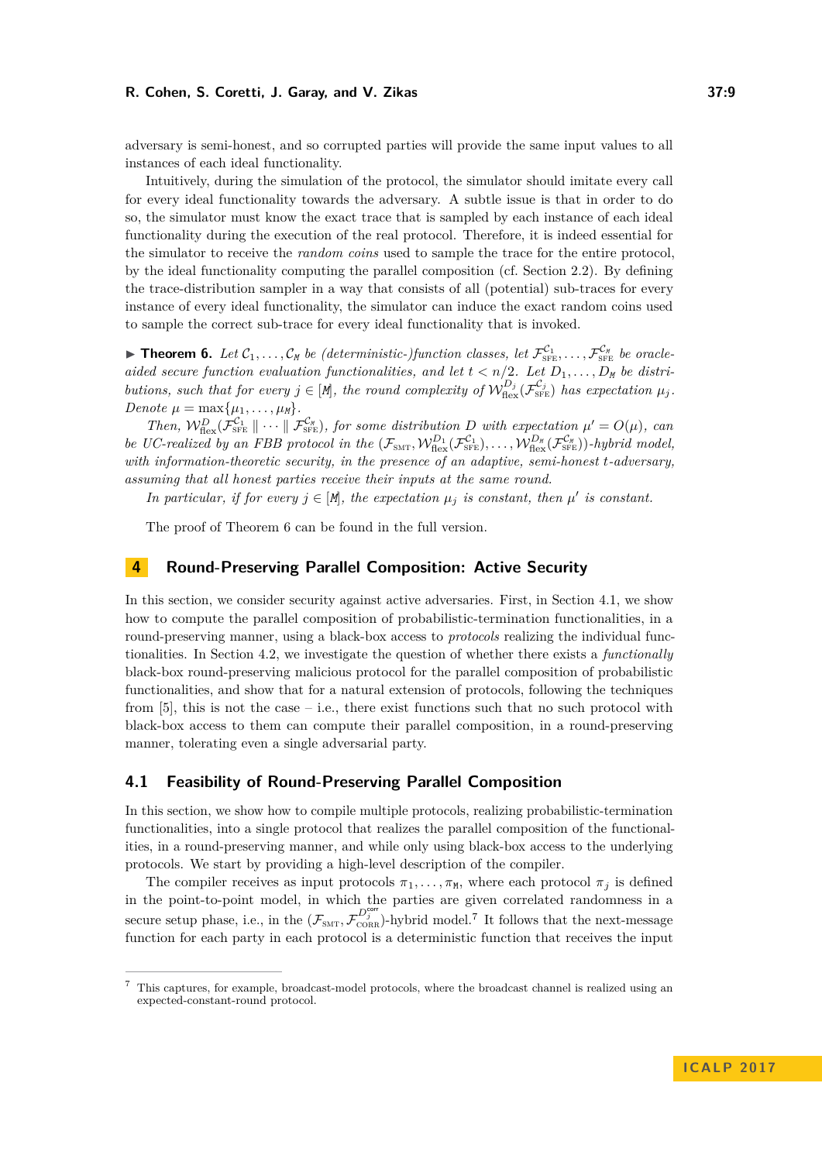adversary is semi-honest, and so corrupted parties will provide the same input values to all instances of each ideal functionality.

Intuitively, during the simulation of the protocol, the simulator should imitate every call for every ideal functionality towards the adversary. A subtle issue is that in order to do so, the simulator must know the exact trace that is sampled by each instance of each ideal functionality during the execution of the real protocol. Therefore, it is indeed essential for the simulator to receive the *random coins* used to sample the trace for the entire protocol, by the ideal functionality computing the parallel composition (cf. Section [2.2\)](#page-5-1). By defining the trace-distribution sampler in a way that consists of all (potential) sub-traces for every instance of every ideal functionality, the simulator can induce the exact random coins used to sample the correct sub-trace for every ideal functionality that is invoked.

<span id="page-8-1"></span>**Finds 1 c f**  $\mathcal{L}_{1}, \ldots, \mathcal{C}_{M}$  *be (deterministic-)function classes, let*  $\mathcal{F}_{\text{SFE}}^{\mathcal{C}_{1}}, \ldots, \mathcal{F}_{\text{SFE}}^{\mathcal{C}_{M}}$  *be oracleaided secure function evaluation functionalities, and let*  $t < n/2$ . Let  $D_1, \ldots, D_M$  be distri*butions, such that for every*  $j \in [M]$ *, the round complexity of*  $W_{\text{flex}}^{D_j}(\mathcal{F}_{\text{SFE}}^{C_j})$  *has expectation*  $\mu_j$ *.*  $Denote \mu = \max\{\mu_1, \ldots, \mu_M\}.$ 

*Then,*  $W_{\text{flex}}^D(\mathcal{F}_{\text{SFE}}^{C_1} \parallel \cdots \parallel \mathcal{F}_{\text{SFE}}^{C_N})$ , for some distribution *D* with expectation  $\mu' = O(\mu)$ , can *be UC-realized by an FBB protocol in the*  $(\mathcal{F}_{\text{SMT}}, \mathcal{W}_{\text{flex}}^{D_1}(\mathcal{F}_{\text{SFE}}^{C_1}), \ldots, \mathcal{W}_{\text{flex}}^{D_N}(\mathcal{F}_{\text{SFE}}^{C_N})$ *-hybrid model, with information-theoretic security, in the presence of an adaptive, semi-honest t-adversary, assuming that all honest parties receive their inputs at the same round.*

*In particular, if for every*  $j \in [M]$ *, the expectation*  $\mu_j$  *is constant, then*  $\mu'$  *is constant.* 

The proof of Theorem [6](#page-8-1) can be found in the full version.

# <span id="page-8-0"></span>**4 Round-Preserving Parallel Composition: Active Security**

In this section, we consider security against active adversaries. First, in Section [4.1,](#page-8-2) we show how to compute the parallel composition of probabilistic-termination functionalities, in a round-preserving manner, using a black-box access to *protocols* realizing the individual functionalities. In Section [4.2,](#page-10-0) we investigate the question of whether there exists a *functionally* black-box round-preserving malicious protocol for the parallel composition of probabilistic functionalities, and show that for a natural extension of protocols, following the techniques from  $[5]$ , this is not the case – i.e., there exist functions such that no such protocol with black-box access to them can compute their parallel composition, in a round-preserving manner, tolerating even a single adversarial party.

## <span id="page-8-2"></span>**4.1 Feasibility of Round-Preserving Parallel Composition**

In this section, we show how to compile multiple protocols, realizing probabilistic-termination functionalities, into a single protocol that realizes the parallel composition of the functionalities, in a round-preserving manner, and while only using black-box access to the underlying protocols. We start by providing a high-level description of the compiler.

The compiler receives as input protocols  $\pi_1, \ldots, \pi_M$ , where each protocol  $\pi_j$  is defined in the point-to-point model, in which the parties are given correlated randomness in a secure setup phase, i.e., in the  $(\mathcal{F}_{SMT}, \mathcal{F}_{CORR}^{D_j^{cor}})$ -hybrid model.<sup>[7](#page-8-3)</sup> It follows that the next-message function for each party in each protocol is a deterministic function that receives the input

<span id="page-8-3"></span><sup>7</sup> This captures, for example, broadcast-model protocols, where the broadcast channel is realized using an expected-constant-round protocol.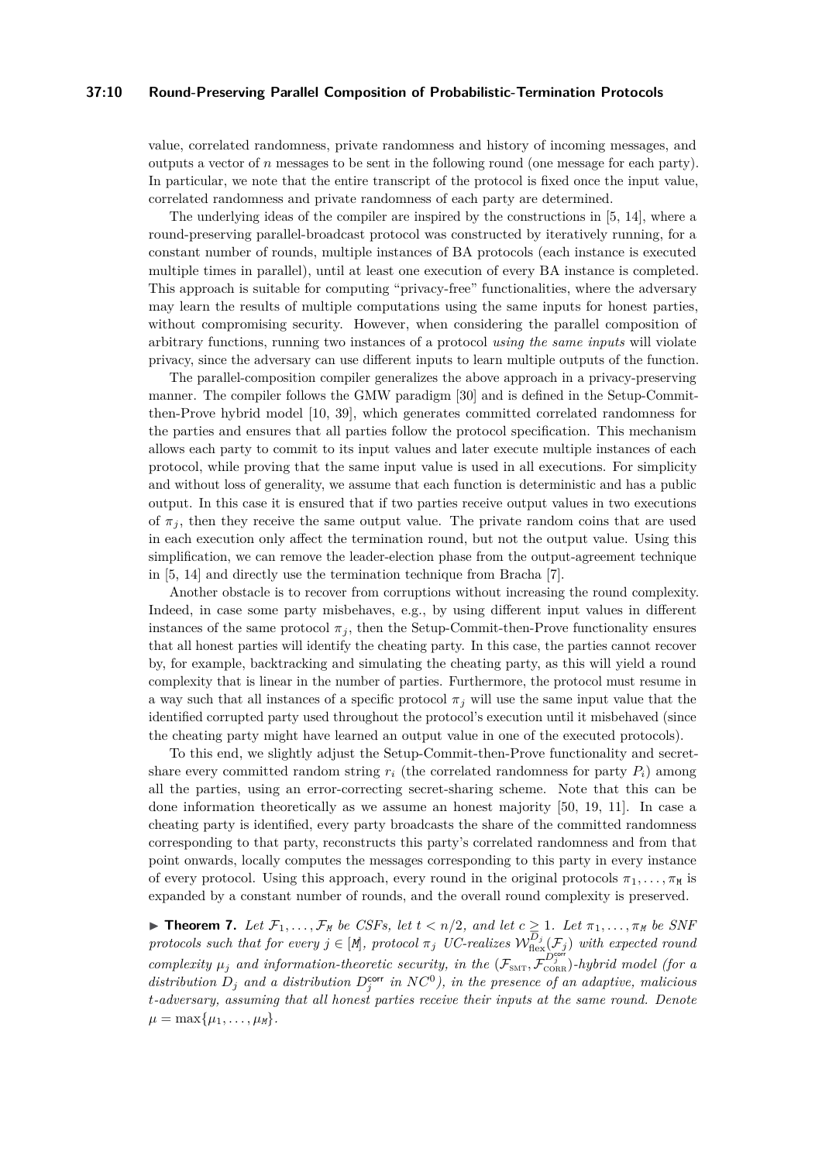## **37:10 Round-Preserving Parallel Composition of Probabilistic-Termination Protocols**

value, correlated randomness, private randomness and history of incoming messages, and outputs a vector of *n* messages to be sent in the following round (one message for each party). In particular, we note that the entire transcript of the protocol is fixed once the input value, correlated randomness and private randomness of each party are determined.

The underlying ideas of the compiler are inspired by the constructions in [\[5,](#page-12-4) [14\]](#page-12-5), where a round-preserving parallel-broadcast protocol was constructed by iteratively running, for a constant number of rounds, multiple instances of BA protocols (each instance is executed multiple times in parallel), until at least one execution of every BA instance is completed. This approach is suitable for computing "privacy-free" functionalities, where the adversary may learn the results of multiple computations using the same inputs for honest parties, without compromising security. However, when considering the parallel composition of arbitrary functions, running two instances of a protocol *using the same inputs* will violate privacy, since the adversary can use different inputs to learn multiple outputs of the function.

The parallel-composition compiler generalizes the above approach in a privacy-preserving manner. The compiler follows the GMW paradigm [\[30\]](#page-13-0) and is defined in the Setup-Committhen-Prove hybrid model [\[10,](#page-12-14) [39\]](#page-14-13), which generates committed correlated randomness for the parties and ensures that all parties follow the protocol specification. This mechanism allows each party to commit to its input values and later execute multiple instances of each protocol, while proving that the same input value is used in all executions. For simplicity and without loss of generality, we assume that each function is deterministic and has a public output. In this case it is ensured that if two parties receive output values in two executions of  $\pi_j$ , then they receive the same output value. The private random coins that are used in each execution only affect the termination round, but not the output value. Using this simplification, we can remove the leader-election phase from the output-agreement technique in [\[5,](#page-12-4) [14\]](#page-12-5) and directly use the termination technique from Bracha [\[7\]](#page-12-16).

Another obstacle is to recover from corruptions without increasing the round complexity. Indeed, in case some party misbehaves, e.g., by using different input values in different instances of the same protocol  $\pi_j$ , then the Setup-Commit-then-Prove functionality ensures that all honest parties will identify the cheating party. In this case, the parties cannot recover by, for example, backtracking and simulating the cheating party, as this will yield a round complexity that is linear in the number of parties. Furthermore, the protocol must resume in a way such that all instances of a specific protocol  $\pi_j$  will use the same input value that the identified corrupted party used throughout the protocol's execution until it misbehaved (since the cheating party might have learned an output value in one of the executed protocols).

To this end, we slightly adjust the Setup-Commit-then-Prove functionality and secretshare every committed random string  $r_i$  (the correlated randomness for party  $P_i$ ) among all the parties, using an error-correcting secret-sharing scheme. Note that this can be done information theoretically as we assume an honest majority [\[50,](#page-14-2) [19,](#page-13-16) [11\]](#page-12-15). In case a cheating party is identified, every party broadcasts the share of the committed randomness corresponding to that party, reconstructs this party's correlated randomness and from that point onwards, locally computes the messages corresponding to this party in every instance of every protocol. Using this approach, every round in the original protocols  $\pi_1, \ldots, \pi_M$  is expanded by a constant number of rounds, and the overall round complexity is preserved.

<span id="page-9-0"></span>**Find 7.** Let  $\mathcal{F}_1, \ldots, \mathcal{F}_M$  be CSFs, let  $t < n/2$ , and let  $c \geq 1$ . Let  $\pi_1, \ldots, \pi_M$  be SNF *protocols such that for every*  $j \in [M]$ , protocol  $\pi_j$  *UC-realizes*  $\mathcal{W}_{\text{flex}}^{D_j}(\mathcal{F}_j)$  *with expected round complexity*  $\mu_j$  and information-theoretic security, in the  $(\mathcal{F}_{SMT}, \mathcal{F}_{CORR}^{L_j})$ -hybrid model (for a distribution  $D_j$  and a distribution  $D_j^{\text{corr}}$  in  $NC^0$ ), in the presence of an adaptive, malicious *t-adversary, assuming that all honest parties receive their inputs at the same round. Denote*  $\mu = \max\{\mu_1, \ldots, \mu_M\}.$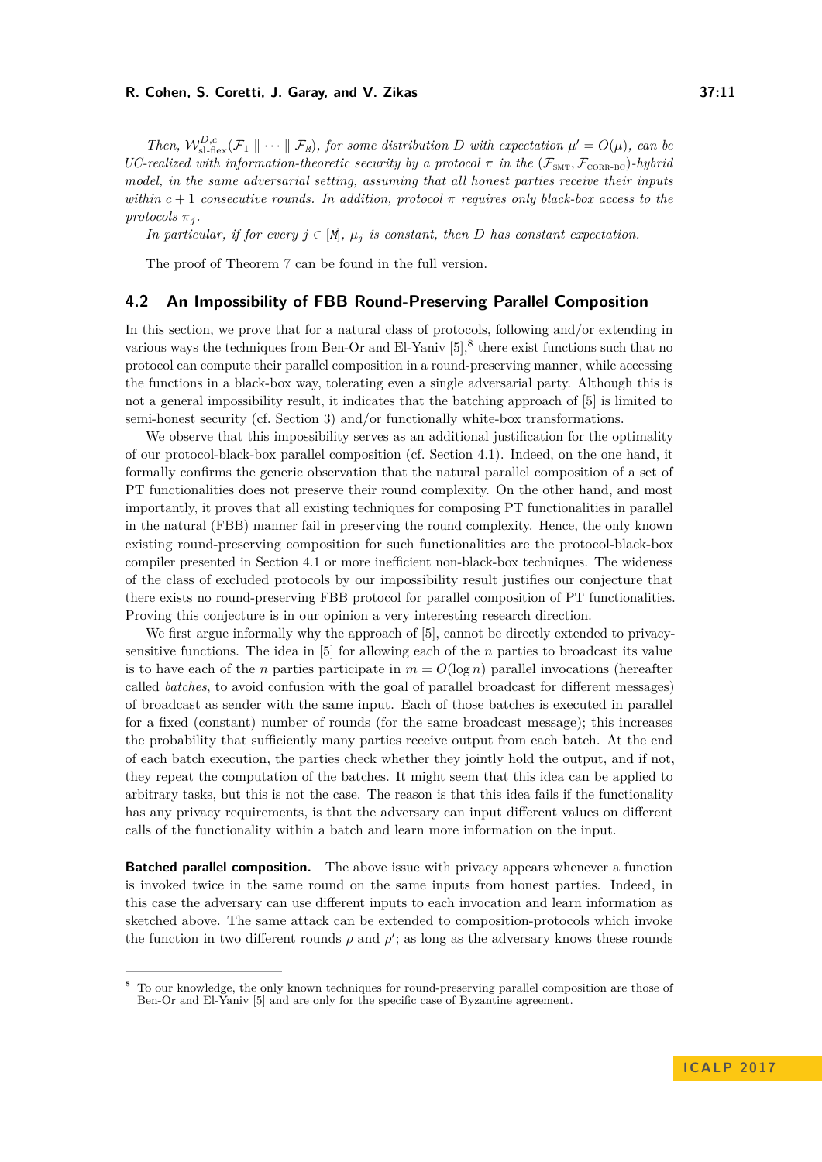*Then,*  $W_{\text{sl-flex}}^{D,c}(\mathcal{F}_1 \parallel \cdots \parallel \mathcal{F}_M)$ , for some distribution D with expectation  $\mu' = O(\mu)$ , can be *UC-realized with information-theoretic security by a protocol*  $π$  *in the* ( $\mathcal{F}_{SMT}$ ,  $\mathcal{F}_{CORR-BC}$ )*-hybrid model, in the same adversarial setting, assuming that all honest parties receive their inputs within*  $c + 1$  *consecutive rounds. In addition, protocol*  $\pi$  *requires only black-box access to the protocols*  $\pi_j$ *.* 

*In particular, if for every*  $j \in [M]$ ,  $\mu_j$  *is constant, then D has constant expectation.* 

The proof of Theorem [7](#page-9-0) can be found in the full version.

## <span id="page-10-0"></span>**4.2 An Impossibility of FBB Round-Preserving Parallel Composition**

In this section, we prove that for a natural class of protocols, following and/or extending in various ways the techniques from Ben-Or and El-Yaniv  $[5]$ ,  $\delta$  there exist functions such that no protocol can compute their parallel composition in a round-preserving manner, while accessing the functions in a black-box way, tolerating even a single adversarial party. Although this is not a general impossibility result, it indicates that the batching approach of [\[5\]](#page-12-4) is limited to semi-honest security (cf. Section [3\)](#page-7-0) and/or functionally white-box transformations.

We observe that this impossibility serves as an additional justification for the optimality of our protocol-black-box parallel composition (cf. Section [4.1\)](#page-8-2). Indeed, on the one hand, it formally confirms the generic observation that the natural parallel composition of a set of PT functionalities does not preserve their round complexity. On the other hand, and most importantly, it proves that all existing techniques for composing PT functionalities in parallel in the natural (FBB) manner fail in preserving the round complexity. Hence, the only known existing round-preserving composition for such functionalities are the protocol-black-box compiler presented in Section [4.1](#page-8-2) or more inefficient non-black-box techniques. The wideness of the class of excluded protocols by our impossibility result justifies our conjecture that there exists no round-preserving FBB protocol for parallel composition of PT functionalities. Proving this conjecture is in our opinion a very interesting research direction.

We first argue informally why the approach of [\[5\]](#page-12-4), cannot be directly extended to privacysensitive functions. The idea in [\[5\]](#page-12-4) for allowing each of the *n* parties to broadcast its value is to have each of the *n* parties participate in  $m = O(\log n)$  parallel invocations (hereafter called *batches*, to avoid confusion with the goal of parallel broadcast for different messages) of broadcast as sender with the same input. Each of those batches is executed in parallel for a fixed (constant) number of rounds (for the same broadcast message); this increases the probability that sufficiently many parties receive output from each batch. At the end of each batch execution, the parties check whether they jointly hold the output, and if not, they repeat the computation of the batches. It might seem that this idea can be applied to arbitrary tasks, but this is not the case. The reason is that this idea fails if the functionality has any privacy requirements, is that the adversary can input different values on different calls of the functionality within a batch and learn more information on the input.

**Batched parallel composition.** The above issue with privacy appears whenever a function is invoked twice in the same round on the same inputs from honest parties. Indeed, in this case the adversary can use different inputs to each invocation and learn information as sketched above. The same attack can be extended to composition-protocols which invoke the function in two different rounds  $\rho$  and  $\rho'$ ; as long as the adversary knows these rounds

<span id="page-10-1"></span><sup>8</sup> To our knowledge, the only known techniques for round-preserving parallel composition are those of Ben-Or and El-Yaniv [\[5\]](#page-12-4) and are only for the specific case of Byzantine agreement.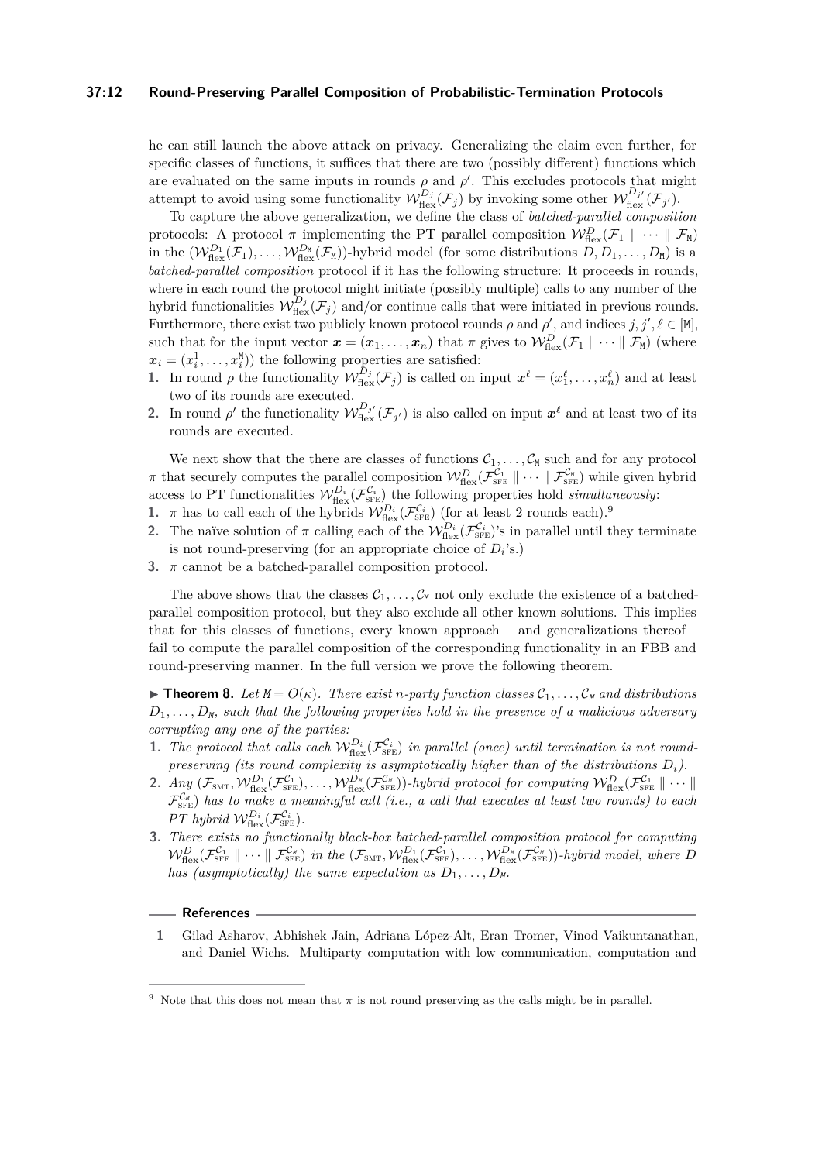### **37:12 Round-Preserving Parallel Composition of Probabilistic-Termination Protocols**

he can still launch the above attack on privacy. Generalizing the claim even further, for specific classes of functions, it suffices that there are two (possibly different) functions which are evaluated on the same inputs in rounds  $\rho$  and  $\rho'$ . This excludes protocols that might attempt to avoid using some functionality  $\mathcal{W}_{\text{flex}}^{D_j}(\mathcal{F}_j)$  by invoking some other  $\mathcal{W}_{\text{flex}}^{D_{j'}}(\mathcal{F}_{j'})$ .

To capture the above generalization, we define the class of *batched-parallel composition* protocols: A protocol  $\pi$  implementing the PT parallel composition  $\mathcal{W}_{\text{flex}}^D(\mathcal{F}_1 \parallel \cdots \parallel \mathcal{F}_{\text{M}})$ in the  $(\mathcal{W}_{\text{flex}}^{D_1}(\mathcal{F}_1), \ldots, \mathcal{W}_{\text{flex}}^{D_M}(\mathcal{F}_M))$ -hybrid model (for some distributions  $D, D_1, \ldots, D_M$ ) is a *batched-parallel composition* protocol if it has the following structure: It proceeds in rounds, where in each round the protocol might initiate (possibly multiple) calls to any number of the hybrid functionalities  $\mathcal{W}_{\text{flex}}^{D_j}(\mathcal{F}_j)$  and/or continue calls that were initiated in previous rounds. Furthermore, there exist two publicly known protocol rounds  $\rho$  and  $\rho'$ , and indices  $j, j', \ell \in [M]$ , such that for the input vector  $\mathbf{x} = (\mathbf{x}_1, \dots, \mathbf{x}_n)$  that  $\pi$  gives to  $\mathcal{W}_{\text{flex}}^D(\mathcal{F}_1 \parallel \dots \parallel \mathcal{F}_{\text{M}})$  (where  $\boldsymbol{x}_i = (x_i^1, \dots, x_i^M)$  the following properties are satisfied:

- **1.** In round  $\rho$  the functionality  $\mathcal{W}_{\text{flex}}^{D_j}(\mathcal{F}_j)$  is called on input  $\mathbf{x}^{\ell} = (x_1^{\ell}, \ldots, x_n^{\ell})$  and at least two of its rounds are executed.
- **2.** In round  $\rho'$  the functionality  $\mathcal{W}_{\text{flex}}^{D_{j'}}(\mathcal{F}_{j'})$  is also called on input  $\mathbf{x}^{\ell}$  and at least two of its rounds are executed.

We next show that the there are classes of functions  $C_1, \ldots, C_M$  such and for any protocol  $\pi$  that securely computes the parallel composition  $\mathcal{W}_{\text{flex}}^{\mathcal{D}}(\mathcal{F}_{\text{SFE}}^{\mathcal{C}_1} \|\cdots \|\mathcal{F}_{\text{SFE}}^{\mathcal{C}_N})$  while given hybrid access to PT functionalities  $W_{\text{flex}}^{D_i}(\mathcal{F}_{\text{SFE}}^{C_i})$  the following properties hold *simultaneously*:

- **1.** *π* has to call each of the hybrids  $W_{\text{flex}}^{D_i}(\mathcal{F}_{\text{SFE}}^{C_i})$  (for at least 2 rounds each).<sup>[9](#page-11-1)</sup>
- **2.** The naïve solution of  $\pi$  calling each of the  $W_{\text{flex}}^{D_i}(\mathcal{F}_{\text{SFE}}^{C_i})$ 's in parallel until they terminate is not round-preserving (for an appropriate choice of  $D_i$ 's.)
- **3.**  $\pi$  cannot be a batched-parallel composition protocol.

The above shows that the classes  $C_1, \ldots, C_M$  not only exclude the existence of a batchedparallel composition protocol, but they also exclude all other known solutions. This implies that for this classes of functions, every known approach – and generalizations thereof – fail to compute the parallel composition of the corresponding functionality in an FBB and round-preserving manner. In the full version we prove the following theorem.

 $\blacktriangleright$  **Theorem 8.** Let  $M = O(\kappa)$ . There exist *n*-party function classes  $C_1, \ldots, C_M$  and distributions  $D_1, \ldots, D_M$ *, such that the following properties hold in the presence of a malicious adversary corrupting any one of the parties:*

- **1.** The protocol that calls each  $W_{\text{flex}}^{D_i}(\mathcal{F}_{\text{SFE}}^{C_i})$  in parallel (once) until termination is not round*preserving (its round complexity is asymptotically higher than of the distributions*  $D_i$ ).
- **2.** *Any*  $(\mathcal{F}_{\text{SMT}}, \mathcal{W}_{\text{flex}}^{D_1}(\mathcal{F}_{\text{SFE}}^{C_1}), \ldots, \mathcal{W}_{\text{flex}}^{D_N}(\mathcal{F}_{\text{SFE}}^{C_N})\)-hybrid\ protocol\ for\ computing\ \mathcal{W}_{\text{flex}}^{D_N}(\mathcal{F}_{\text{SFE}}^{C_1} \parallel \cdots \parallel$  $\mathcal{F}_{\text{SFE}}^{C_M}$ ) has to make a meaningful call (i.e., a call that executes at least two rounds) to each *PT* hybrid  $W_{\text{flex}}^{D_i}(\mathcal{F}_{\text{SFE}}^{C_i})$ *.*
- **3.** *There exists no functionally black-box batched-parallel composition protocol for computing*  $\mathcal{W}_{\text{flex}}^D(\mathcal{F}_{\text{SFE}}^{\mathcal{C}_1} \parallel \cdots \parallel \mathcal{F}_{\text{SFE}}^{\mathcal{C}_N})$  in the  $(\mathcal{F}_{\text{SMT}}, \mathcal{W}_{\text{flex}}^{D_1}(\mathcal{F}_{\text{SFE}}^{\mathcal{C}_1}), \ldots, \mathcal{W}_{\text{flex}}^{D_N}(\mathcal{F}_{\text{SFE}}^{\mathcal{C}_N}))$ -hybrid model, where *D has (asymptotically) the same expectation as*  $D_1, \ldots, D_M$ .

## **References**

<span id="page-11-0"></span>**1** Gilad Asharov, Abhishek Jain, Adriana López-Alt, Eran Tromer, Vinod Vaikuntanathan, and Daniel Wichs. Multiparty computation with low communication, computation and

<span id="page-11-1"></span><sup>&</sup>lt;sup>9</sup> Note that this does not mean that  $\pi$  is not round preserving as the calls might be in parallel.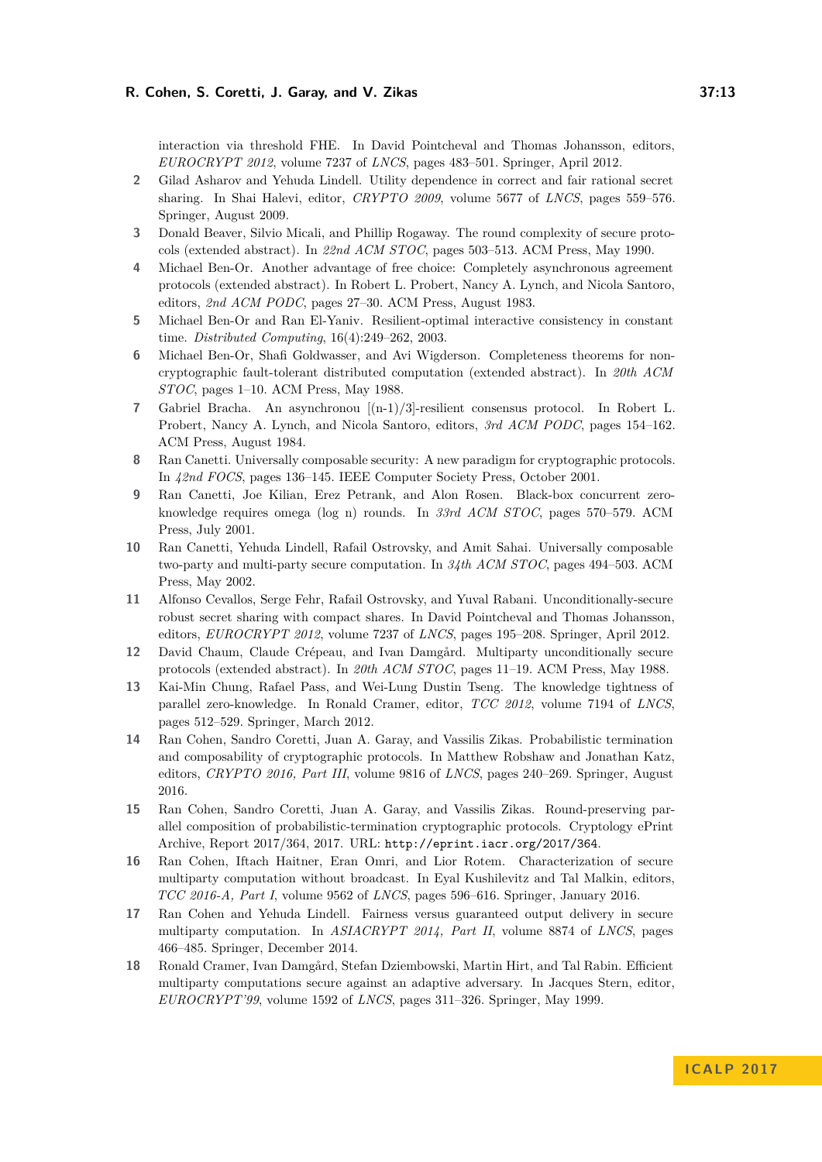interaction via threshold FHE. In David Pointcheval and Thomas Johansson, editors, *EUROCRYPT 2012*, volume 7237 of *LNCS*, pages 483–501. Springer, April 2012.

- <span id="page-12-9"></span>**2** Gilad Asharov and Yehuda Lindell. Utility dependence in correct and fair rational secret sharing. In Shai Halevi, editor, *CRYPTO 2009*, volume 5677 of *LNCS*, pages 559–576. Springer, August 2009.
- <span id="page-12-8"></span>**3** Donald Beaver, Silvio Micali, and Phillip Rogaway. The round complexity of secure protocols (extended abstract). In *22nd ACM STOC*, pages 503–513. ACM Press, May 1990.
- <span id="page-12-3"></span>**4** Michael Ben-Or. Another advantage of free choice: Completely asynchronous agreement protocols (extended abstract). In Robert L. Probert, Nancy A. Lynch, and Nicola Santoro, editors, *2nd ACM PODC*, pages 27–30. ACM Press, August 1983.
- <span id="page-12-4"></span>**5** Michael Ben-Or and Ran El-Yaniv. Resilient-optimal interactive consistency in constant time. *Distributed Computing*, 16(4):249–262, 2003.
- <span id="page-12-1"></span>**6** Michael Ben-Or, Shafi Goldwasser, and Avi Wigderson. Completeness theorems for noncryptographic fault-tolerant distributed computation (extended abstract). In *20th ACM STOC*, pages 1–10. ACM Press, May 1988.
- <span id="page-12-16"></span>**7** Gabriel Bracha. An asynchronou [(n-1)/3]-resilient consensus protocol. In Robert L. Probert, Nancy A. Lynch, and Nicola Santoro, editors, *3rd ACM PODC*, pages 154–162. ACM Press, August 1984.
- <span id="page-12-6"></span>**8** Ran Canetti. Universally composable security: A new paradigm for cryptographic protocols. In *42nd FOCS*, pages 136–145. IEEE Computer Society Press, October 2001.
- <span id="page-12-10"></span>**9** Ran Canetti, Joe Kilian, Erez Petrank, and Alon Rosen. Black-box concurrent zeroknowledge requires omega (log n) rounds. In *33rd ACM STOC*, pages 570–579. ACM Press, July 2001.
- <span id="page-12-14"></span>**10** Ran Canetti, Yehuda Lindell, Rafail Ostrovsky, and Amit Sahai. Universally composable two-party and multi-party secure computation. In *34th ACM STOC*, pages 494–503. ACM Press, May 2002.
- <span id="page-12-15"></span>**11** Alfonso Cevallos, Serge Fehr, Rafail Ostrovsky, and Yuval Rabani. Unconditionally-secure robust secret sharing with compact shares. In David Pointcheval and Thomas Johansson, editors, *EUROCRYPT 2012*, volume 7237 of *LNCS*, pages 195–208. Springer, April 2012.
- <span id="page-12-2"></span>**12** David Chaum, Claude Crépeau, and Ivan Damgård. Multiparty unconditionally secure protocols (extended abstract). In *20th ACM STOC*, pages 11–19. ACM Press, May 1988.
- <span id="page-12-11"></span>**13** Kai-Min Chung, Rafael Pass, and Wei-Lung Dustin Tseng. The knowledge tightness of parallel zero-knowledge. In Ronald Cramer, editor, *TCC 2012*, volume 7194 of *LNCS*, pages 512–529. Springer, March 2012.
- <span id="page-12-5"></span>**14** Ran Cohen, Sandro Coretti, Juan A. Garay, and Vassilis Zikas. Probabilistic termination and composability of cryptographic protocols. In Matthew Robshaw and Jonathan Katz, editors, *CRYPTO 2016, Part III*, volume 9816 of *LNCS*, pages 240–269. Springer, August 2016.
- <span id="page-12-0"></span>**15** Ran Cohen, Sandro Coretti, Juan A. Garay, and Vassilis Zikas. Round-preserving parallel composition of probabilistic-termination cryptographic protocols. Cryptology ePrint Archive, Report 2017/364, 2017. URL: <http://eprint.iacr.org/2017/364>.
- <span id="page-12-13"></span>**16** Ran Cohen, Iftach Haitner, Eran Omri, and Lior Rotem. Characterization of secure multiparty computation without broadcast. In Eyal Kushilevitz and Tal Malkin, editors, *TCC 2016-A, Part I*, volume 9562 of *LNCS*, pages 596–616. Springer, January 2016.
- <span id="page-12-12"></span>**17** Ran Cohen and Yehuda Lindell. Fairness versus guaranteed output delivery in secure multiparty computation. In *ASIACRYPT 2014, Part II*, volume 8874 of *LNCS*, pages 466–485. Springer, December 2014.
- <span id="page-12-7"></span>**18** Ronald Cramer, Ivan Damgård, Stefan Dziembowski, Martin Hirt, and Tal Rabin. Efficient multiparty computations secure against an adaptive adversary. In Jacques Stern, editor, *EUROCRYPT'99*, volume 1592 of *LNCS*, pages 311–326. Springer, May 1999.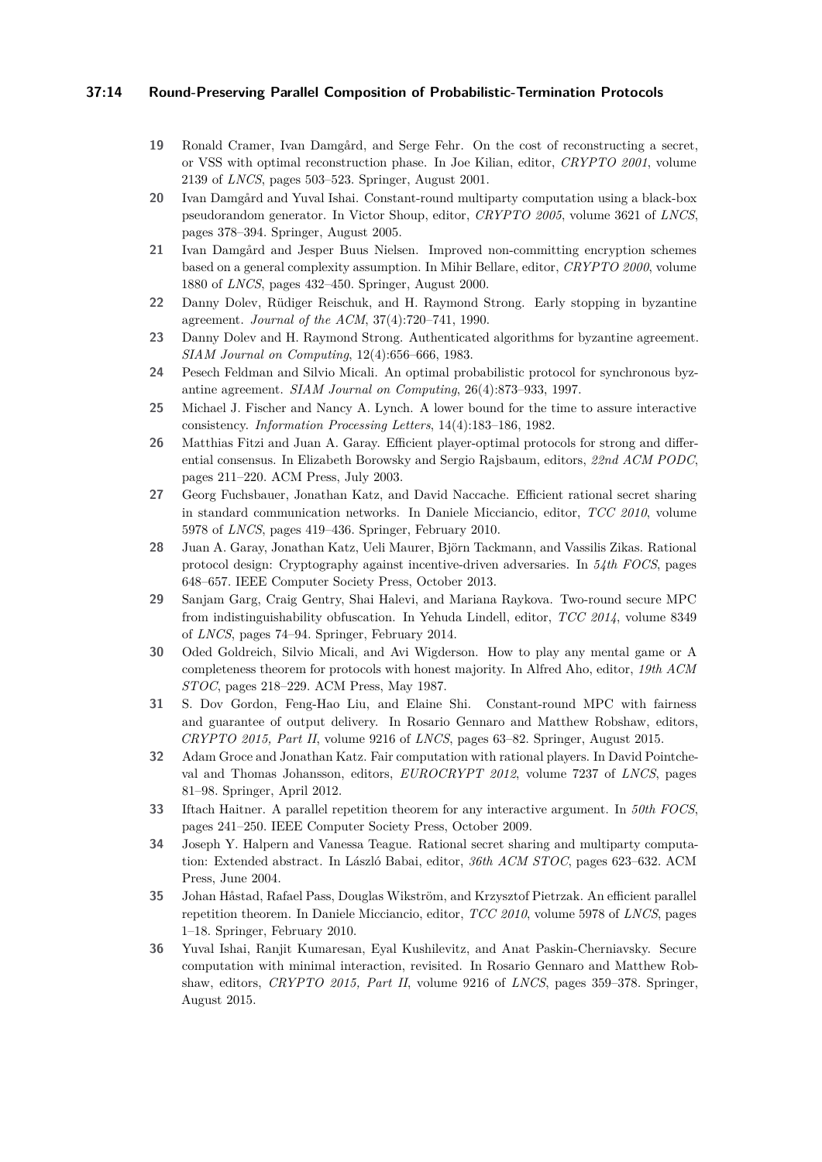## **37:14 Round-Preserving Parallel Composition of Probabilistic-Termination Protocols**

- <span id="page-13-16"></span>**19** Ronald Cramer, Ivan Damgård, and Serge Fehr. On the cost of reconstructing a secret, or VSS with optimal reconstruction phase. In Joe Kilian, editor, *CRYPTO 2001*, volume 2139 of *LNCS*, pages 503–523. Springer, August 2001.
- <span id="page-13-6"></span>**20** Ivan Damgård and Yuval Ishai. Constant-round multiparty computation using a black-box pseudorandom generator. In Victor Shoup, editor, *CRYPTO 2005*, volume 3621 of *LNCS*, pages 378–394. Springer, August 2005.
- <span id="page-13-9"></span>**21** Ivan Damgård and Jesper Buus Nielsen. Improved non-committing encryption schemes based on a general complexity assumption. In Mihir Bellare, editor, *CRYPTO 2000*, volume 1880 of *LNCS*, pages 432–450. Springer, August 2000.
- <span id="page-13-3"></span>**22** Danny Dolev, Rüdiger Reischuk, and H. Raymond Strong. Early stopping in byzantine agreement. *Journal of the ACM*, 37(4):720–741, 1990.
- <span id="page-13-2"></span>**23** Danny Dolev and H. Raymond Strong. Authenticated algorithms for byzantine agreement. *SIAM Journal on Computing*, 12(4):656–666, 1983.
- <span id="page-13-4"></span>**24** Pesech Feldman and Silvio Micali. An optimal probabilistic protocol for synchronous byzantine agreement. *SIAM Journal on Computing*, 26(4):873–933, 1997.
- <span id="page-13-1"></span>**25** Michael J. Fischer and Nancy A. Lynch. A lower bound for the time to assure interactive consistency. *Information Processing Letters*, 14(4):183–186, 1982.
- <span id="page-13-5"></span>**26** Matthias Fitzi and Juan A. Garay. Efficient player-optimal protocols for strong and differential consensus. In Elizabeth Borowsky and Sergio Rajsbaum, editors, *22nd ACM PODC*, pages 211–220. ACM Press, July 2003.
- <span id="page-13-11"></span>**27** Georg Fuchsbauer, Jonathan Katz, and David Naccache. Efficient rational secret sharing in standard communication networks. In Daniele Micciancio, editor, *TCC 2010*, volume 5978 of *LNCS*, pages 419–436. Springer, February 2010.
- <span id="page-13-13"></span>**28** Juan A. Garay, Jonathan Katz, Ueli Maurer, Björn Tackmann, and Vassilis Zikas. Rational protocol design: Cryptography against incentive-driven adversaries. In *54th FOCS*, pages 648–657. IEEE Computer Society Press, October 2013.
- <span id="page-13-7"></span>**29** Sanjam Garg, Craig Gentry, Shai Halevi, and Mariana Raykova. Two-round secure MPC from indistinguishability obfuscation. In Yehuda Lindell, editor, *TCC 2014*, volume 8349 of *LNCS*, pages 74–94. Springer, February 2014.
- <span id="page-13-0"></span>**30** Oded Goldreich, Silvio Micali, and Avi Wigderson. How to play any mental game or A completeness theorem for protocols with honest majority. In Alfred Aho, editor, *19th ACM STOC*, pages 218–229. ACM Press, May 1987.
- <span id="page-13-8"></span>**31** S. Dov Gordon, Feng-Hao Liu, and Elaine Shi. Constant-round MPC with fairness and guarantee of output delivery. In Rosario Gennaro and Matthew Robshaw, editors, *CRYPTO 2015, Part II*, volume 9216 of *LNCS*, pages 63–82. Springer, August 2015.
- <span id="page-13-12"></span>**32** Adam Groce and Jonathan Katz. Fair computation with rational players. In David Pointcheval and Thomas Johansson, editors, *EUROCRYPT 2012*, volume 7237 of *LNCS*, pages 81–98. Springer, April 2012.
- <span id="page-13-14"></span>**33** Iftach Haitner. A parallel repetition theorem for any interactive argument. In *50th FOCS*, pages 241–250. IEEE Computer Society Press, October 2009.
- <span id="page-13-10"></span>**34** Joseph Y. Halpern and Vanessa Teague. Rational secret sharing and multiparty computation: Extended abstract. In László Babai, editor, *36th ACM STOC*, pages 623–632. ACM Press, June 2004.
- <span id="page-13-15"></span>**35** Johan Håstad, Rafael Pass, Douglas Wikström, and Krzysztof Pietrzak. An efficient parallel repetition theorem. In Daniele Micciancio, editor, *TCC 2010*, volume 5978 of *LNCS*, pages 1–18. Springer, February 2010.
- <span id="page-13-17"></span>**36** Yuval Ishai, Ranjit Kumaresan, Eyal Kushilevitz, and Anat Paskin-Cherniavsky. Secure computation with minimal interaction, revisited. In Rosario Gennaro and Matthew Robshaw, editors, *CRYPTO 2015, Part II*, volume 9216 of *LNCS*, pages 359–378. Springer, August 2015.